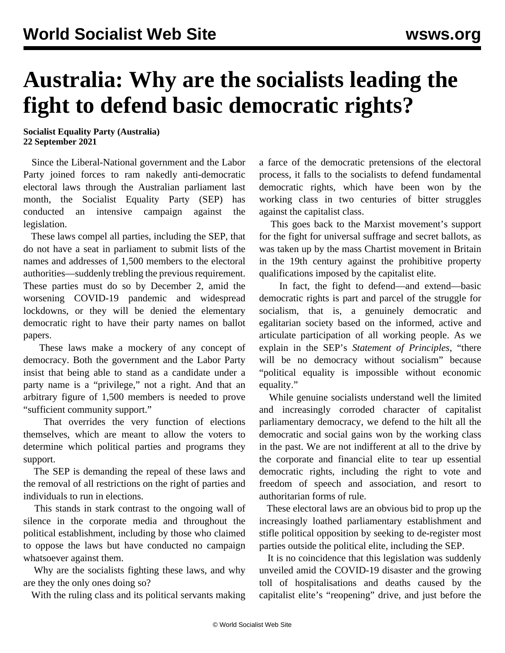## **Australia: Why are the socialists leading the fight to defend basic democratic rights?**

## **Socialist Equality Party (Australia) 22 September 2021**

 Since the Liberal-National government and the Labor Party joined forces to ram nakedly anti-democratic electoral laws through the Australian parliament last month, the Socialist Equality Party (SEP) has conducted an intensive campaign against the legislation.

 These laws compel all parties, including the SEP, that do not have a seat in parliament to submit lists of the names and addresses of 1,500 members to the electoral authorities—suddenly trebling the previous requirement. These parties must do so by December 2, amid the worsening COVID-19 pandemic and widespread lockdowns, or they will be denied the elementary democratic right to have their party names on ballot papers.

 These laws make a mockery of any concept of democracy. Both the government and the Labor Party insist that being able to stand as a candidate under a party name is a "privilege," not a right. And that an arbitrary figure of 1,500 members is needed to prove "sufficient community support."

 That overrides the very function of elections themselves, which are meant to allow the voters to determine which political parties and programs they support.

 The SEP is demanding the repeal of these laws and the removal of all restrictions on the right of parties and individuals to run in elections.

 This stands in stark contrast to the ongoing wall of silence in the corporate media and throughout the political establishment, including by those who claimed to oppose the laws but have conducted no campaign whatsoever against them.

 Why are the socialists fighting these laws, and why are they the only ones doing so?

With the ruling class and its political servants making

a farce of the democratic pretensions of the electoral process, it falls to the socialists to defend fundamental democratic rights, which have been won by the working class in two centuries of bitter struggles against the capitalist class.

 This goes back to the Marxist movement's support for the fight for universal suffrage and secret ballots, as was taken up by the mass Chartist movement in Britain in the 19th century against the prohibitive property qualifications imposed by the capitalist elite.

 In fact, the fight to defend—and extend—basic democratic rights is part and parcel of the struggle for socialism, that is, a genuinely democratic and egalitarian society based on the informed, active and articulate participation of all working people. As we explain in the SEP's *[Statement of Principles](/en/special/pages/sep/australia/principles.html)*, "there will be no democracy without socialism" because "political equality is impossible without economic equality."

 While genuine socialists understand well the limited and increasingly corroded character of capitalist parliamentary democracy, we defend to the hilt all the democratic and social gains won by the working class in the past. We are not indifferent at all to the drive by the corporate and financial elite to tear up essential democratic rights, including the right to vote and freedom of speech and association, and resort to authoritarian forms of rule.

 These electoral laws are an obvious bid to prop up the increasingly loathed parliamentary establishment and stifle political opposition by seeking to de-register most parties outside the political elite, including the SEP.

 It is no coincidence that this legislation was suddenly unveiled amid the COVID-19 disaster and the growing toll of hospitalisations and deaths caused by the capitalist elite's "reopening" drive, and just before the